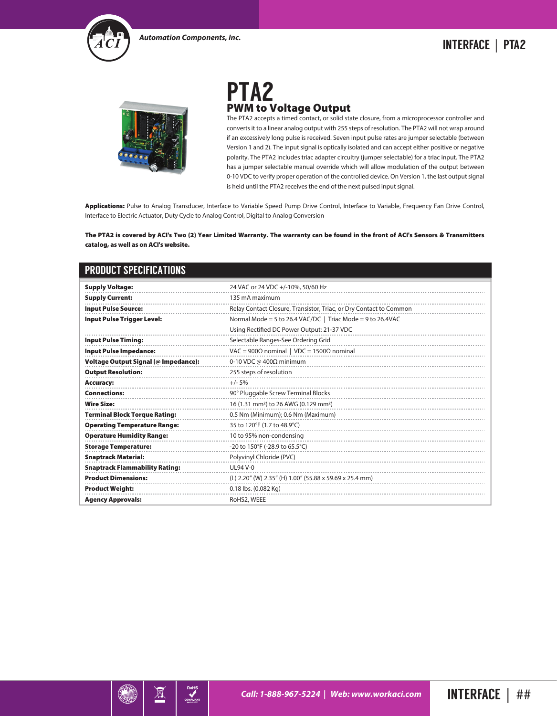



## PTA2 PWM to Voltage Output

The PTA2 accepts a timed contact, or solid state closure, from a microprocessor controller and converts it to a linear analog output with 255 steps of resolution. The PTA2 will not wrap around if an excessively long pulse is received. Seven input pulse rates are jumper selectable (between Version 1 and 2). The input signal is optically isolated and can accept either positive or negative polarity. The PTA2 includes triac adapter circuitry (jumper selectable) for a triac input. The PTA2 has a jumper selectable manual override which will allow modulation of the output between 0-10 VDC to verify proper operation of the controlled device. On Version 1, the last output signal is held until the PTA2 receives the end of the next pulsed input signal.

Applications: Pulse to Analog Transducer, Interface to Variable Speed Pump Drive Control, Interface to Variable, Frequency Fan Drive Control, Interface to Electric Actuator, Duty Cycle to Analog Control, Digital to Analog Conversion

The PTA2 is covered by ACI's Two (2) Year Limited Warranty. The warranty can be found in the front of ACI's Sensors & Transmitters catalog, as well as on ACI's website.

| <b>PRODUCT SPECIFICATIONS</b>               |                                                                    |
|---------------------------------------------|--------------------------------------------------------------------|
| <b>Supply Voltage:</b>                      | 24 VAC or 24 VDC +/-10%, 50/60 Hz                                  |
| <b>Supply Current:</b>                      | 135 mA maximum                                                     |
| <b>Input Pulse Source:</b>                  | Relay Contact Closure, Transistor, Triac, or Dry Contact to Common |
| <b>Input Pulse Trigger Level:</b>           | Normal Mode = 5 to 26.4 VAC/DC   Triac Mode = 9 to 26.4VAC         |
|                                             | Using Rectified DC Power Output: 21-37 VDC                         |
| <b>Input Pulse Timing:</b>                  | Selectable Ranges-See Ordering Grid                                |
| <b>Input Pulse Impedance:</b>               | VAC = 900Ω nominal   VDC = 1500Ω nominal                           |
| <b>Voltage Output Signal (@ Impedance):</b> | 0-10 VDC @ 400Ω minimum                                            |
| <b>Output Resolution:</b>                   | 255 steps of resolution                                            |
| Accuracy:                                   | $+/- 5%$                                                           |
| <b>Connections:</b>                         | 90° Pluggable Screw Terminal Blocks                                |
| <b>Wire Size:</b>                           | 16 (1.31 mm <sup>2</sup> ) to 26 AWG (0.129 mm <sup>2</sup> )      |
| <b>Terminal Block Torque Rating:</b>        | 0.5 Nm (Minimum); 0.6 Nm (Maximum)                                 |
| <b>Operating Temperature Range:</b>         | 35 to 120°F (1.7 to 48.9°C)                                        |
| <b>Operature Humidity Range:</b>            | 10 to 95% non-condensing                                           |
| <b>Storage Temperature:</b>                 | -20 to 150°F (-28.9 to 65.5°C)                                     |
| <b>Snaptrack Material:</b>                  | Polyvinyl Chloride (PVC)                                           |
| <b>Snaptrack Flammability Rating:</b>       | <b>UL94 V-0</b>                                                    |
| <b>Product Dimensions:</b>                  | (L) 2.20" (W) 2.35" (H) 1.00" (55.88 x 59.69 x 25.4 mm)            |
| <b>Product Weight:</b>                      | 0.18 lbs. (0.082 Kg)                                               |
| <b>Agency Approvals:</b>                    | RoHS2, WEEE                                                        |



 $\boxtimes$ 

RoHS<br>
MPLIAN